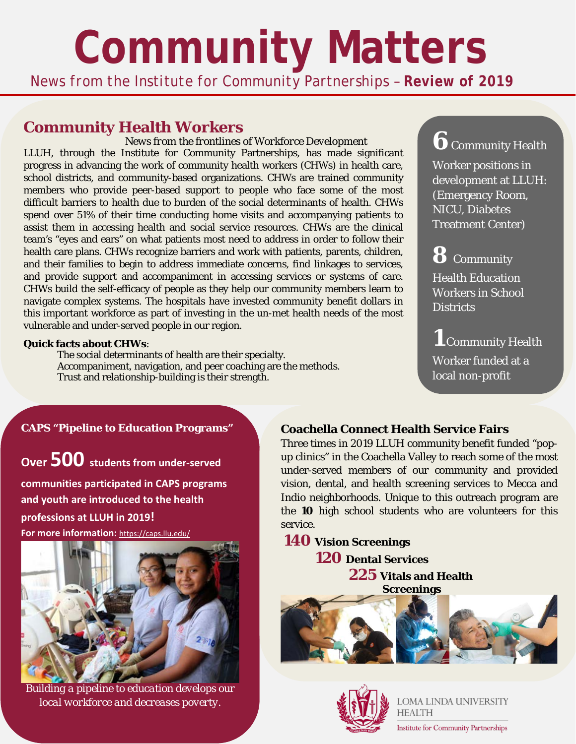# **Community Matters**

*News from the Institute for Community Partnerships – Review of 2019*

## **Community Health Workers**

*News from the frontlines of Workforce Development*  LLUH, through the Institute for Community Partnerships, has made significant progress in advancing the work of community health workers (CHWs) in health care, school districts, and community-based organizations. CHWs are trained community members who provide peer-based support to people who face some of the most difficult barriers to health due to burden of the social determinants of health. CHWs spend over 51% of their time conducting home visits and accompanying patients to assist them in accessing health and social service resources. CHWs are the clinical team's "eyes and ears" on what patients most need to address in order to follow their health care plans. CHWs recognize barriers and work with patients, parents, children, and their families to begin to address immediate concerns, find linkages to services, and provide support and accompaniment in accessing services or systems of care. CHWs build the self-efficacy of people as they help our community members learn to navigate complex systems. The hospitals have invested community benefit dollars in this important workforce as part of investing in the un-met health needs of the most vulnerable and under-served people in our region.

#### **Quick facts about CHWs**:

The social determinants of health are their specialty. Accompaniment, navigation, and peer coaching are the methods. Trust and relationship-building is their strength.

### **CAPS "Pipeline to Education Programs"**

**Over 500 students from under-served** 

**communities participated in CAPS programs and youth are introduced to the health professions at LLUH in 2019! For more information:** <https://caps.llu.edu/>



*Building a pipeline to education develops our local workforce and decreases poverty.*

# **6** Community Health

Worker positions in development at LLUH: (Emergency Room, NICU, Diabetes Treatment Center)

# **8** Community

Health Education Workers in School **Districts** 

**1** Community Health Worker funded at a local non-profit

### **Coachella Connect Health Service Fairs**

Three times in 2019 LLUH community benefit funded "popup clinics" in the Coachella Valley to reach some of the most under-served members of our community and provided vision, dental, and health screening services to Mecca and Indio neighborhoods. Unique to this outreach program are the **10** high school students who are volunteers for this service.

**140 Vision Screenings 120 Dental Services 225 Vitals and Health Screenings**





LOMA LINDA UNIVERSITY **HEALTH** 

**Institute for Community Partnerships**